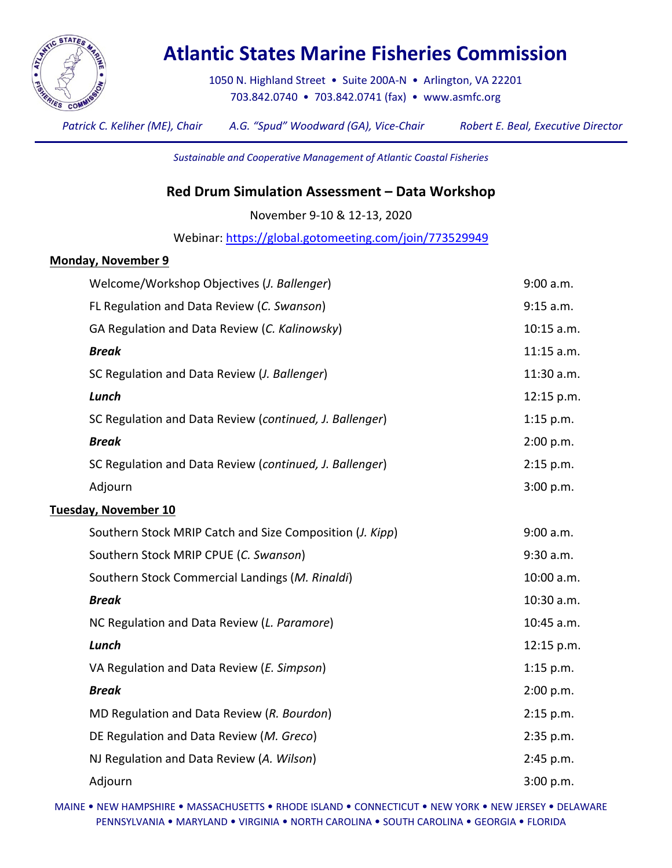

## **Atlantic States Marine Fisheries Commission**

1050 N. Highland Street • Suite 200A-N • Arlington, VA 22201 703.842.0740 • 703.842.0741 (fax) • [www.asmfc.org](http://www.asmfc.org/)

*Patrick C. Keliher (ME), Chair A.G. "Spud" Woodward (GA), Vice-Chair Robert E. Beal, Executive Director*

*Sustainable and Cooperative Management of Atlantic Coastal Fisheries*

## **Red Drum Simulation Assessment – Data Workshop**

November 9-10 & 12-13, 2020

Webinar:<https://global.gotomeeting.com/join/773529949>

## **Monday, November 9**

| FL Regulation and Data Review (C. Swanson)<br>GA Regulation and Data Review (C. Kalinowsky)<br><b>Break</b><br>SC Regulation and Data Review (J. Ballenger)<br>Lunch<br>SC Regulation and Data Review (continued, J. Ballenger)<br><b>Break</b><br>SC Regulation and Data Review (continued, J. Ballenger)<br>Adjourn<br><b>Tuesday, November 10</b><br>Southern Stock MRIP Catch and Size Composition (J. Kipp)<br>Southern Stock MRIP CPUE (C. Swanson)<br>Southern Stock Commercial Landings (M. Rinaldi)<br><b>Break</b><br>NC Regulation and Data Review (L. Paramore)<br>Lunch<br>VA Regulation and Data Review (E. Simpson)<br><b>Break</b><br>MD Regulation and Data Review (R. Bourdon)<br>DE Regulation and Data Review (M. Greco)<br>NJ Regulation and Data Review (A. Wilson)<br>Adjourn | Welcome/Workshop Objectives (J. Ballenger) | 9:00 a.m.   |
|------------------------------------------------------------------------------------------------------------------------------------------------------------------------------------------------------------------------------------------------------------------------------------------------------------------------------------------------------------------------------------------------------------------------------------------------------------------------------------------------------------------------------------------------------------------------------------------------------------------------------------------------------------------------------------------------------------------------------------------------------------------------------------------------------|--------------------------------------------|-------------|
|                                                                                                                                                                                                                                                                                                                                                                                                                                                                                                                                                                                                                                                                                                                                                                                                      |                                            | 9:15 a.m.   |
|                                                                                                                                                                                                                                                                                                                                                                                                                                                                                                                                                                                                                                                                                                                                                                                                      |                                            | 10:15 a.m.  |
|                                                                                                                                                                                                                                                                                                                                                                                                                                                                                                                                                                                                                                                                                                                                                                                                      |                                            | 11:15 a.m.  |
|                                                                                                                                                                                                                                                                                                                                                                                                                                                                                                                                                                                                                                                                                                                                                                                                      |                                            | 11:30 a.m.  |
|                                                                                                                                                                                                                                                                                                                                                                                                                                                                                                                                                                                                                                                                                                                                                                                                      |                                            | 12:15 p.m.  |
|                                                                                                                                                                                                                                                                                                                                                                                                                                                                                                                                                                                                                                                                                                                                                                                                      |                                            | $1:15$ p.m. |
|                                                                                                                                                                                                                                                                                                                                                                                                                                                                                                                                                                                                                                                                                                                                                                                                      |                                            | 2:00 p.m.   |
|                                                                                                                                                                                                                                                                                                                                                                                                                                                                                                                                                                                                                                                                                                                                                                                                      |                                            | 2:15 p.m.   |
|                                                                                                                                                                                                                                                                                                                                                                                                                                                                                                                                                                                                                                                                                                                                                                                                      |                                            | 3:00 p.m.   |
|                                                                                                                                                                                                                                                                                                                                                                                                                                                                                                                                                                                                                                                                                                                                                                                                      |                                            |             |
|                                                                                                                                                                                                                                                                                                                                                                                                                                                                                                                                                                                                                                                                                                                                                                                                      |                                            | 9:00 a.m.   |
|                                                                                                                                                                                                                                                                                                                                                                                                                                                                                                                                                                                                                                                                                                                                                                                                      |                                            | 9:30 a.m.   |
|                                                                                                                                                                                                                                                                                                                                                                                                                                                                                                                                                                                                                                                                                                                                                                                                      |                                            | 10:00 a.m.  |
|                                                                                                                                                                                                                                                                                                                                                                                                                                                                                                                                                                                                                                                                                                                                                                                                      |                                            | 10:30 a.m.  |
|                                                                                                                                                                                                                                                                                                                                                                                                                                                                                                                                                                                                                                                                                                                                                                                                      |                                            | 10:45 a.m.  |
|                                                                                                                                                                                                                                                                                                                                                                                                                                                                                                                                                                                                                                                                                                                                                                                                      |                                            | 12:15 p.m.  |
|                                                                                                                                                                                                                                                                                                                                                                                                                                                                                                                                                                                                                                                                                                                                                                                                      |                                            | $1:15$ p.m. |
|                                                                                                                                                                                                                                                                                                                                                                                                                                                                                                                                                                                                                                                                                                                                                                                                      |                                            | 2:00 p.m.   |
|                                                                                                                                                                                                                                                                                                                                                                                                                                                                                                                                                                                                                                                                                                                                                                                                      |                                            | 2:15 p.m.   |
|                                                                                                                                                                                                                                                                                                                                                                                                                                                                                                                                                                                                                                                                                                                                                                                                      |                                            | 2:35 p.m.   |
|                                                                                                                                                                                                                                                                                                                                                                                                                                                                                                                                                                                                                                                                                                                                                                                                      |                                            | 2:45 p.m.   |
|                                                                                                                                                                                                                                                                                                                                                                                                                                                                                                                                                                                                                                                                                                                                                                                                      |                                            | 3:00 p.m.   |

MAINE • NEW HAMPSHIRE • MASSACHUSETTS • RHODE ISLAND • CONNECTICUT • NEW YORK • NEW JERSEY • DELAWARE PENNSYLVANIA • MARYLAND • VIRGINIA • NORTH CAROLINA • SOUTH CAROLINA • GEORGIA • FLORIDA